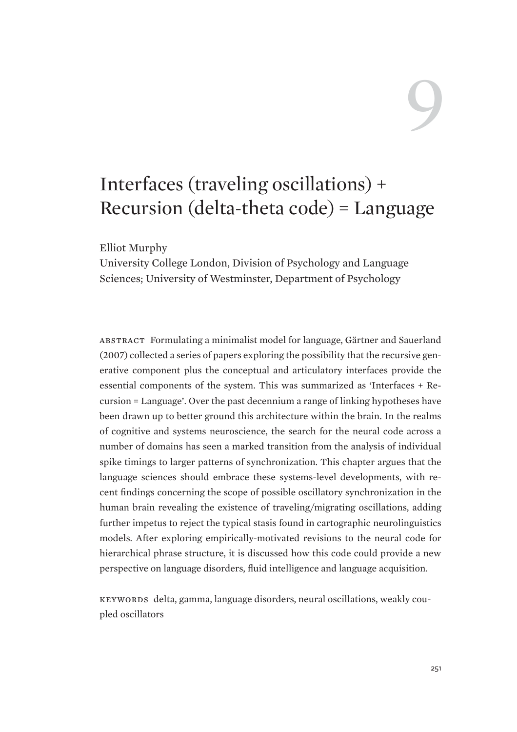# 9

# Interfaces (traveling oscillations) + Recursion (delta-theta code) = Language

Elliot Murphy

University College London, Division of Psychology and Language Sciences; University of Westminster, Department of Psychology

Abstract Formulating a minimalist model for language, Gärtner and Sauerland (2007) collected a series of papers exploring the possibility that the recursive generative component plus the conceptual and articulatory interfaces provide the essential components of the system. This was summarized as 'Interfaces + Recursion = Language'. Over the past decennium a range of linking hypotheses have been drawn up to better ground this architecture within the brain. In the realms of cognitive and systems neuroscience, the search for the neural code across a number of domains has seen a marked transition from the analysis of individual spike timings to larger patterns of synchronization. This chapter argues that the language sciences should embrace these systems-level developments, with recent findings concerning the scope of possible oscillatory synchronization in the human brain revealing the existence of traveling/migrating oscillations, adding further impetus to reject the typical stasis found in cartographic neurolinguistics models. After exploring empirically-motivated revisions to the neural code for hierarchical phrase structure, it is discussed how this code could provide a new perspective on language disorders, fluid intelligence and language acquisition.

KEYWORDS delta, gamma, language disorders, neural oscillations, weakly coupled oscillators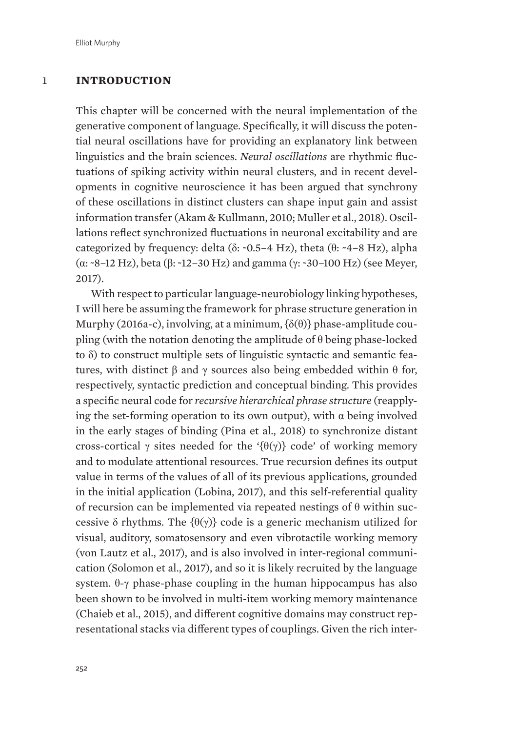# 1 **INTRODUCTION**

This chapter will be concerned with the neural implementation of the generative component of language. Specifically, it will discuss the potential neural oscillations have for providing an explanatory link between linguistics and the brain sciences. *Neural oscillations* are rhythmic fluctuations of spiking activity within neural clusters, and in recent developments in cognitive neuroscience it has been argued that synchrony of these oscillations in distinct clusters can shape input gain and assist information transfer (Akam & Kullmann, 2010; Muller et al., 2018). Oscillations reflect synchronized fluctuations in neuronal excitability and are categorized by frequency: delta ( $\delta$ : ~0.5–4 Hz), theta ( $\theta$ : ~4–8 Hz), alpha  $(\alpha$ : ~8–12 Hz), beta ( $\beta$ : ~12–30 Hz) and gamma ( $\gamma$ : ~30–100 Hz) (see Meyer, 2017).

With respect to particular language-neurobiology linking hypotheses, I will here be assuming the framework for phrase structure generation in Murphy (2016a-c), involving, at a minimum,  $\{\delta(\theta)\}\$  phase-amplitude coupling (with the notation denoting the amplitude of  $\theta$  being phase-locked to  $\delta$ ) to construct multiple sets of linguistic syntactic and semantic features, with distinct  $\beta$  and  $\gamma$  sources also being embedded within  $\theta$  for, respectively, syntactic prediction and conceptual binding. This provides a specific neural code for *recursive hierarchical phrase structure* (reapplying the set-forming operation to its own output), with  $\alpha$  being involved in the early stages of binding (Pina et al., 2018) to synchronize distant cross-cortical  $\gamma$  sites needed for the '{ $\theta(\gamma)$ } code' of working memory and to modulate attentional resources. True recursion defines its output value in terms of the values of all of its previous applications, grounded in the initial application (Lobina, 2017), and this self-referential quality of recursion can be implemented via repeated nestings of  $\theta$  within successive  $\delta$  rhythms. The  $\{\theta(\gamma)\}\$  code is a generic mechanism utilized for visual, auditory, somatosensory and even vibrotactile working memory (von Lautz et al., 2017), and is also involved in inter-regional communication (Solomon et al., 2017), and so it is likely recruited by the language system.  $\theta$ - $\gamma$  phase-phase coupling in the human hippocampus has also been shown to be involved in multi-item working memory maintenance (Chaieb et al., 2015), and different cognitive domains may construct representational stacks via different types of couplings. Given the rich inter-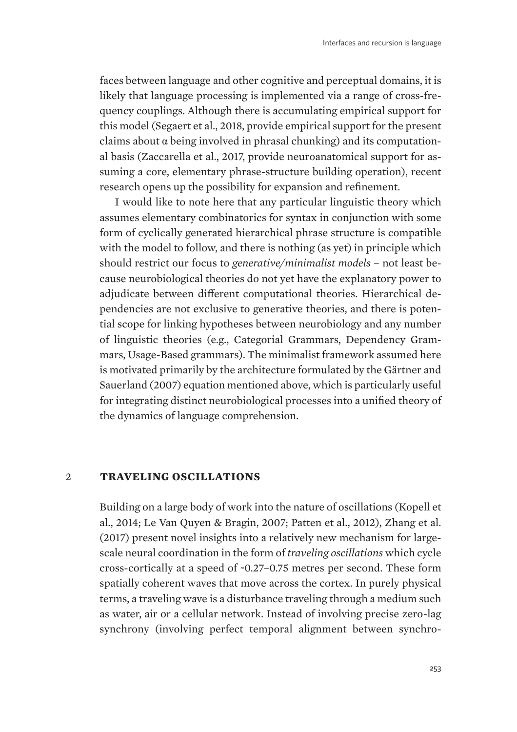faces between language and other cognitive and perceptual domains, it is likely that language processing is implemented via a range of cross-frequency couplings. Although there is accumulating empirical support for this model (Segaert et al., 2018, provide empirical support for the present claims about  $\alpha$  being involved in phrasal chunking) and its computational basis (Zaccarella et al., 2017, provide neuroanatomical support for assuming a core, elementary phrase-structure building operation), recent research opens up the possibility for expansion and refinement.

I would like to note here that any particular linguistic theory which assumes elementary combinatorics for syntax in conjunction with some form of cyclically generated hierarchical phrase structure is compatible with the model to follow, and there is nothing (as yet) in principle which should restrict our focus to *generative/minimalist models* – not least because neurobiological theories do not yet have the explanatory power to adjudicate between different computational theories. Hierarchical dependencies are not exclusive to generative theories, and there is potential scope for linking hypotheses between neurobiology and any number of linguistic theories (e.g., Categorial Grammars, Dependency Grammars, Usage-Based grammars). The minimalist framework assumed here is motivated primarily by the architecture formulated by the Gärtner and Sauerland (2007) equation mentioned above, which is particularly useful for integrating distinct neurobiological processes into a unified theory of the dynamics of language comprehension.

#### 2 **TRAVELING OSCILLATIONS**

Building on a large body of work into the nature of oscillations (Kopell et al., 2014; Le Van Quyen & Bragin, 2007; Patten et al., 2012), Zhang et al. (2017) present novel insights into a relatively new mechanism for largescale neural coordination in the form of *traveling oscillations* which cycle cross-cortically at a speed of ~0.27–0.75 metres per second. These form spatially coherent waves that move across the cortex. In purely physical terms, a traveling wave is a disturbance traveling through a medium such as water, air or a cellular network. Instead of involving precise zero-lag synchrony (involving perfect temporal alignment between synchro-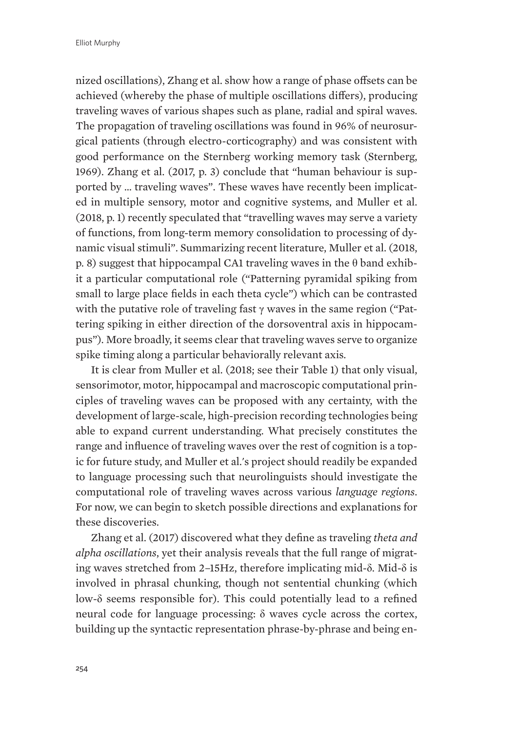nized oscillations), Zhang et al. show how a range of phase offsets can be achieved (whereby the phase of multiple oscillations differs), producing traveling waves of various shapes such as plane, radial and spiral waves. The propagation of traveling oscillations was found in 96% of neurosurgical patients (through electro-corticography) and was consistent with good performance on the Sternberg working memory task (Sternberg, 1969). Zhang et al. (2017, p. 3) conclude that "human behaviour is supported by … traveling waves". These waves have recently been implicated in multiple sensory, motor and cognitive systems, and Muller et al. (2018, p. 1) recently speculated that "travelling waves may serve a variety of functions, from long-term memory consolidation to processing of dynamic visual stimuli". Summarizing recent literature, Muller et al. (2018, p. 8) suggest that hippocampal CA1 traveling waves in the  $\theta$  band exhibit a particular computational role ("Patterning pyramidal spiking from small to large place fields in each theta cycle") which can be contrasted with the putative role of traveling fast  $\gamma$  waves in the same region ("Pattering spiking in either direction of the dorsoventral axis in hippocampus"). More broadly, it seems clear that traveling waves serve to organize spike timing along a particular behaviorally relevant axis.

It is clear from Muller et al. (2018; see their Table 1) that only visual, sensorimotor, motor, hippocampal and macroscopic computational principles of traveling waves can be proposed with any certainty, with the development of large-scale, high-precision recording technologies being able to expand current understanding. What precisely constitutes the range and influence of traveling waves over the rest of cognition is a topic for future study, and Muller et al.'s project should readily be expanded to language processing such that neurolinguists should investigate the computational role of traveling waves across various *language regions*. For now, we can begin to sketch possible directions and explanations for these discoveries.

Zhang et al. (2017) discovered what they define as traveling *theta and alpha oscillations*, yet their analysis reveals that the full range of migrating waves stretched from 2–15Hz, therefore implicating mid- $\delta$ . Mid- $\delta$  is involved in phrasal chunking, though not sentential chunking (which low- $\delta$  seems responsible for). This could potentially lead to a refined neural code for language processing:  $\delta$  waves cycle across the cortex, building up the syntactic representation phrase-by-phrase and being en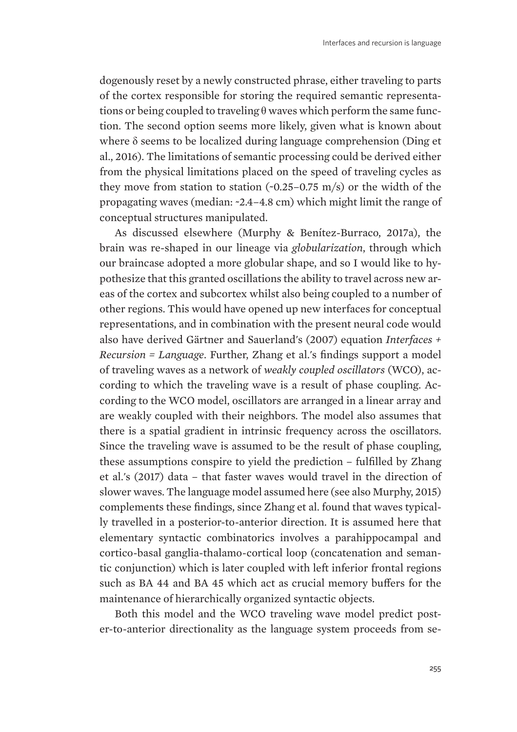dogenously reset by a newly constructed phrase, either traveling to parts of the cortex responsible for storing the required semantic representations or being coupled to traveling  $\theta$  waves which perform the same function. The second option seems more likely, given what is known about where  $\delta$  seems to be localized during language comprehension (Ding et al., 2016). The limitations of semantic processing could be derived either from the physical limitations placed on the speed of traveling cycles as they move from station to station  $(-0.25-0.75 \text{ m/s})$  or the width of the propagating waves (median: ~2.4–4.8 cm) which might limit the range of conceptual structures manipulated.

As discussed elsewhere (Murphy & Benítez-Burraco, 2017a), the brain was re-shaped in our lineage via *globularization*, through which our braincase adopted a more globular shape, and so I would like to hypothesize that this granted oscillations the ability to travel across new areas of the cortex and subcortex whilst also being coupled to a number of other regions. This would have opened up new interfaces for conceptual representations, and in combination with the present neural code would also have derived Gärtner and Sauerland's (2007) equation *Interfaces + Recursion = Language*. Further, Zhang et al.'s findings support a model of traveling waves as a network of *weakly coupled oscillators* (WCO), according to which the traveling wave is a result of phase coupling. According to the WCO model, oscillators are arranged in a linear array and are weakly coupled with their neighbors. The model also assumes that there is a spatial gradient in intrinsic frequency across the oscillators. Since the traveling wave is assumed to be the result of phase coupling, these assumptions conspire to yield the prediction – fulfilled by Zhang et al.'s (2017) data – that faster waves would travel in the direction of slower waves. The language model assumed here (see also Murphy, 2015) complements these findings, since Zhang et al. found that waves typically travelled in a posterior-to-anterior direction. It is assumed here that elementary syntactic combinatorics involves a parahippocampal and cortico-basal ganglia-thalamo-cortical loop (concatenation and semantic conjunction) which is later coupled with left inferior frontal regions such as BA 44 and BA 45 which act as crucial memory buffers for the maintenance of hierarchically organized syntactic objects.

Both this model and the WCO traveling wave model predict poster-to-anterior directionality as the language system proceeds from se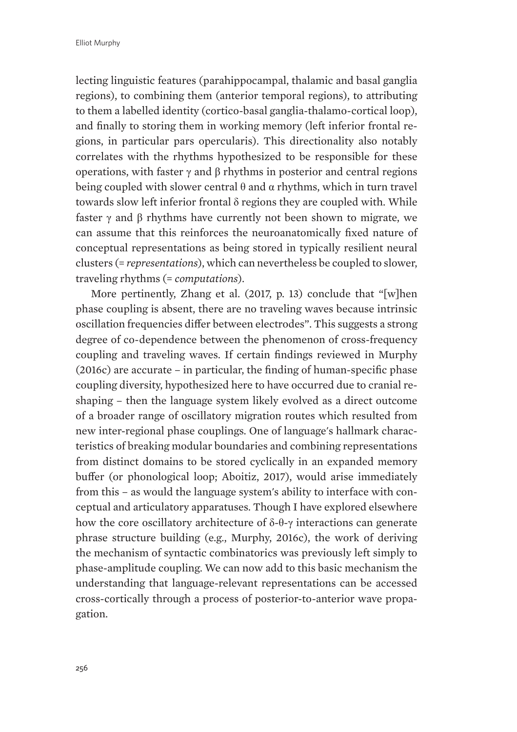lecting linguistic features (parahippocampal, thalamic and basal ganglia regions), to combining them (anterior temporal regions), to attributing to them a labelled identity (cortico-basal ganglia-thalamo-cortical loop), and finally to storing them in working memory (left inferior frontal regions, in particular pars opercularis). This directionality also notably correlates with the rhythms hypothesized to be responsible for these operations, with faster  $\gamma$  and  $\beta$  rhythms in posterior and central regions being coupled with slower central  $\theta$  and  $\alpha$  rhythms, which in turn travel towards slow left inferior frontal  $\delta$  regions they are coupled with. While faster  $\gamma$  and  $\beta$  rhythms have currently not been shown to migrate, we can assume that this reinforces the neuroanatomically fixed nature of conceptual representations as being stored in typically resilient neural clusters (= *representations*), which can nevertheless be coupled to slower, traveling rhythms (= *computations*).

More pertinently, Zhang et al. (2017, p. 13) conclude that "[w]hen phase coupling is absent, there are no traveling waves because intrinsic oscillation frequencies differ between electrodes". This suggests a strong degree of co-dependence between the phenomenon of cross-frequency coupling and traveling waves. If certain findings reviewed in Murphy (2016c) are accurate – in particular, the finding of human-specific phase coupling diversity, hypothesized here to have occurred due to cranial reshaping – then the language system likely evolved as a direct outcome of a broader range of oscillatory migration routes which resulted from new inter-regional phase couplings. One of language's hallmark characteristics of breaking modular boundaries and combining representations from distinct domains to be stored cyclically in an expanded memory buffer (or phonological loop; Aboitiz, 2017), would arise immediately from this – as would the language system's ability to interface with conceptual and articulatory apparatuses. Though I have explored elsewhere how the core oscillatory architecture of  $\delta-\theta-\gamma$  interactions can generate phrase structure building (e.g., Murphy, 2016c), the work of deriving the mechanism of syntactic combinatorics was previously left simply to phase-amplitude coupling. We can now add to this basic mechanism the understanding that language-relevant representations can be accessed cross-cortically through a process of posterior-to-anterior wave propagation.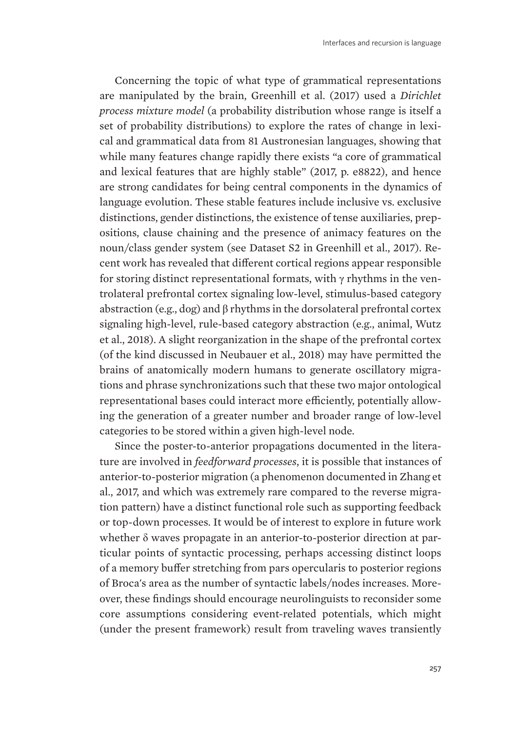Concerning the topic of what type of grammatical representations are manipulated by the brain, Greenhill et al. (2017) used a *Dirichlet process mixture model* (a probability distribution whose range is itself a set of probability distributions) to explore the rates of change in lexical and grammatical data from 81 Austronesian languages, showing that while many features change rapidly there exists "a core of grammatical and lexical features that are highly stable" (2017, p. e8822), and hence are strong candidates for being central components in the dynamics of language evolution. These stable features include inclusive vs. exclusive distinctions, gender distinctions, the existence of tense auxiliaries, prepositions, clause chaining and the presence of animacy features on the noun/class gender system (see Dataset S2 in Greenhill et al., 2017). Recent work has revealed that different cortical regions appear responsible for storing distinct representational formats, with  $\gamma$  rhythms in the ventrolateral prefrontal cortex signaling low-level, stimulus-based category abstraction (e.g., dog) and  $\beta$  rhythms in the dorsolateral prefrontal cortex signaling high-level, rule-based category abstraction (e.g., animal, Wutz et al., 2018). A slight reorganization in the shape of the prefrontal cortex (of the kind discussed in Neubauer et al., 2018) may have permitted the brains of anatomically modern humans to generate oscillatory migrations and phrase synchronizations such that these two major ontological representational bases could interact more efficiently, potentially allowing the generation of a greater number and broader range of low-level categories to be stored within a given high-level node.

Since the poster-to-anterior propagations documented in the literature are involved in *feedforward processes*, it is possible that instances of anterior-to-posterior migration (a phenomenon documented in Zhang et al., 2017, and which was extremely rare compared to the reverse migration pattern) have a distinct functional role such as supporting feedback or top-down processes. It would be of interest to explore in future work whether  $\delta$  waves propagate in an anterior-to-posterior direction at particular points of syntactic processing, perhaps accessing distinct loops of a memory buffer stretching from pars opercularis to posterior regions of Broca's area as the number of syntactic labels/nodes increases. Moreover, these findings should encourage neurolinguists to reconsider some core assumptions considering event-related potentials, which might (under the present framework) result from traveling waves transiently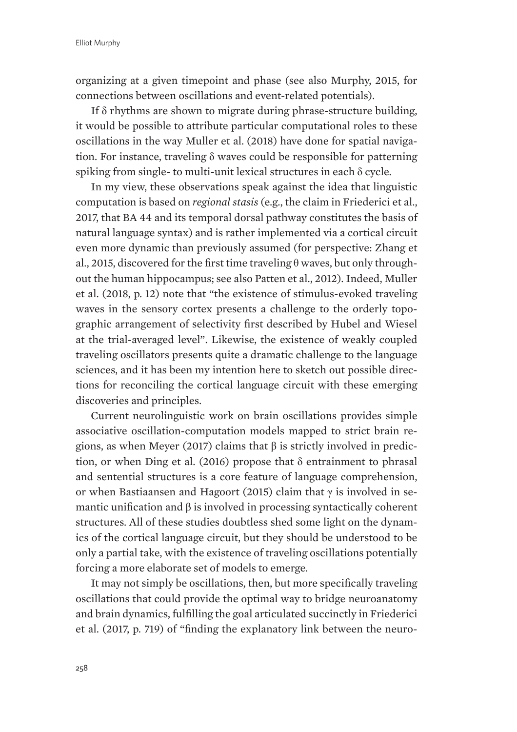organizing at a given timepoint and phase (see also Murphy, 2015, for connections between oscillations and event-related potentials).

If  $\delta$  rhythms are shown to migrate during phrase-structure building, it would be possible to attribute particular computational roles to these oscillations in the way Muller et al. (2018) have done for spatial navigation. For instance, traveling  $\delta$  waves could be responsible for patterning spiking from single- to multi-unit lexical structures in each  $\delta$  cycle.

In my view, these observations speak against the idea that linguistic computation is based on *regional stasis* (e.g., the claim in Friederici et al., 2017, that BA 44 and its temporal dorsal pathway constitutes the basis of natural language syntax) and is rather implemented via a cortical circuit even more dynamic than previously assumed (for perspective: Zhang et al., 2015, discovered for the first time traveling  $\theta$  waves, but only throughout the human hippocampus; see also Patten et al., 2012). Indeed, Muller et al. (2018, p. 12) note that "the existence of stimulus-evoked traveling waves in the sensory cortex presents a challenge to the orderly topographic arrangement of selectivity first described by Hubel and Wiesel at the trial-averaged level". Likewise, the existence of weakly coupled traveling oscillators presents quite a dramatic challenge to the language sciences, and it has been my intention here to sketch out possible directions for reconciling the cortical language circuit with these emerging discoveries and principles.

Current neurolinguistic work on brain oscillations provides simple associative oscillation-computation models mapped to strict brain regions, as when Meyer (2017) claims that  $\beta$  is strictly involved in prediction, or when Ding et al. (2016) propose that  $\delta$  entrainment to phrasal and sentential structures is a core feature of language comprehension, or when Bastiaansen and Hagoort (2015) claim that  $\gamma$  is involved in semantic unification and  $\beta$  is involved in processing syntactically coherent structures. All of these studies doubtless shed some light on the dynamics of the cortical language circuit, but they should be understood to be only a partial take, with the existence of traveling oscillations potentially forcing a more elaborate set of models to emerge.

It may not simply be oscillations, then, but more specifically traveling oscillations that could provide the optimal way to bridge neuroanatomy and brain dynamics, fulfilling the goal articulated succinctly in Friederici et al. (2017, p. 719) of "finding the explanatory link between the neuro-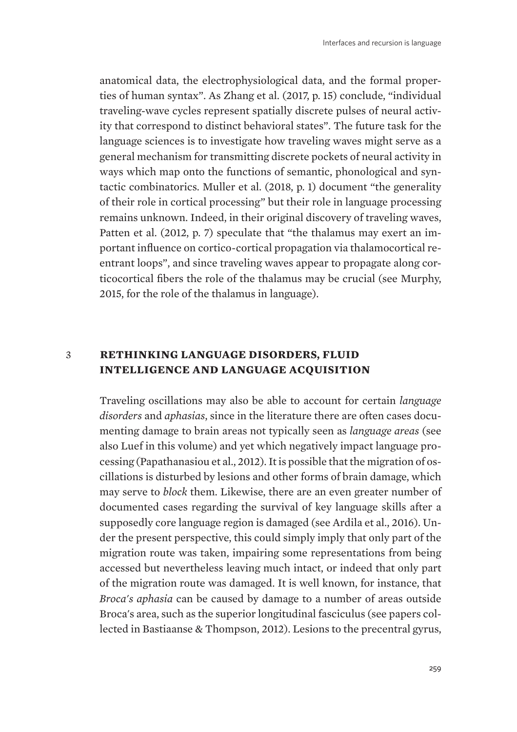anatomical data, the electrophysiological data, and the formal properties of human syntax". As Zhang et al. (2017, p. 15) conclude, "individual traveling-wave cycles represent spatially discrete pulses of neural activity that correspond to distinct behavioral states". The future task for the language sciences is to investigate how traveling waves might serve as a general mechanism for transmitting discrete pockets of neural activity in ways which map onto the functions of semantic, phonological and syntactic combinatorics. Muller et al. (2018, p. 1) document "the generality of their role in cortical processing" but their role in language processing remains unknown. Indeed, in their original discovery of traveling waves, Patten et al. (2012, p. 7) speculate that "the thalamus may exert an important influence on cortico-cortical propagation via thalamocortical reentrant loops", and since traveling waves appear to propagate along corticocortical fibers the role of the thalamus may be crucial (see Murphy, 2015, for the role of the thalamus in language).

# 3 **RETHINKING LANGUAGE DISORDERS, FLUID INTELLIGENCE AND LANGUAGE ACQUISITION**

Traveling oscillations may also be able to account for certain *language disorders* and *aphasias*, since in the literature there are often cases documenting damage to brain areas not typically seen as *language areas* (see also Luef in this volume) and yet which negatively impact language processing (Papathanasiou et al., 2012). It is possible that the migration of oscillations is disturbed by lesions and other forms of brain damage, which may serve to *block* them. Likewise, there are an even greater number of documented cases regarding the survival of key language skills after a supposedly core language region is damaged (see Ardila et al., 2016). Under the present perspective, this could simply imply that only part of the migration route was taken, impairing some representations from being accessed but nevertheless leaving much intact, or indeed that only part of the migration route was damaged. It is well known, for instance, that *Broca's aphasia* can be caused by damage to a number of areas outside Broca's area, such as the superior longitudinal fasciculus (see papers collected in Bastiaanse & Thompson, 2012). Lesions to the precentral gyrus,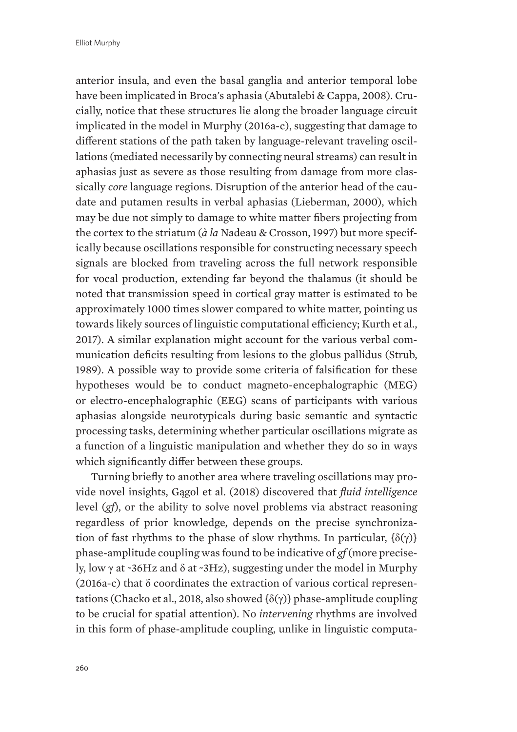anterior insula, and even the basal ganglia and anterior temporal lobe have been implicated in Broca's aphasia (Abutalebi & Cappa, 2008). Crucially, notice that these structures lie along the broader language circuit implicated in the model in Murphy (2016a-c), suggesting that damage to different stations of the path taken by language-relevant traveling oscillations (mediated necessarily by connecting neural streams) can result in aphasias just as severe as those resulting from damage from more classically *core* language regions. Disruption of the anterior head of the caudate and putamen results in verbal aphasias (Lieberman, 2000), which may be due not simply to damage to white matter fibers projecting from the cortex to the striatum (*à la* Nadeau & Crosson, 1997) but more specifically because oscillations responsible for constructing necessary speech signals are blocked from traveling across the full network responsible for vocal production, extending far beyond the thalamus (it should be noted that transmission speed in cortical gray matter is estimated to be approximately 1000 times slower compared to white matter, pointing us towards likely sources of linguistic computational efficiency; Kurth et al., 2017). A similar explanation might account for the various verbal communication deficits resulting from lesions to the globus pallidus (Strub, 1989). A possible way to provide some criteria of falsification for these hypotheses would be to conduct magneto-encephalographic (MEG) or electro-encephalographic (EEG) scans of participants with various aphasias alongside neurotypicals during basic semantic and syntactic processing tasks, determining whether particular oscillations migrate as a function of a linguistic manipulation and whether they do so in ways which significantly differ between these groups.

Turning briefly to another area where traveling oscillations may provide novel insights, Gągol et al. (2018) discovered that *fluid intelligence* level (*gf*), or the ability to solve novel problems via abstract reasoning regardless of prior knowledge, depends on the precise synchronization of fast rhythms to the phase of slow rhythms. In particular,  $\{\delta(\gamma)\}\$ phase-amplitude coupling was found to be indicative of *gf* (more precisely, low  $\gamma$  at ~36Hz and  $\delta$  at ~3Hz), suggesting under the model in Murphy (2016a-c) that  $\delta$  coordinates the extraction of various cortical representations (Chacko et al., 2018, also showed  $\{\delta(\gamma)\}\$ phase-amplitude coupling to be crucial for spatial attention). No *intervening* rhythms are involved in this form of phase-amplitude coupling, unlike in linguistic computa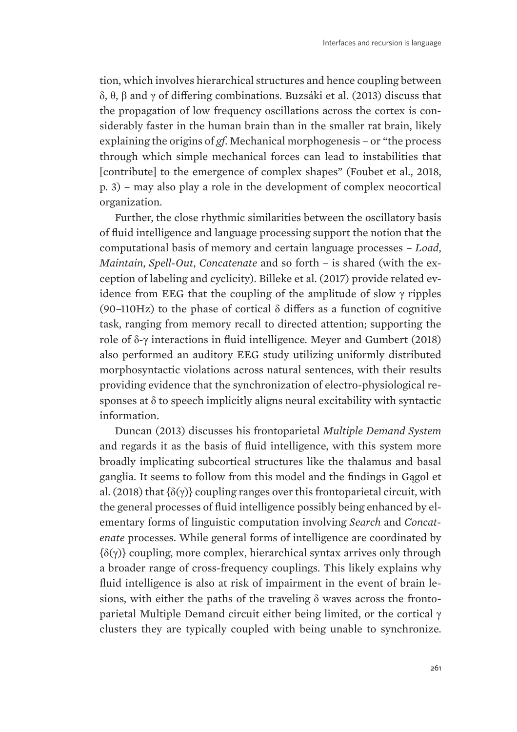tion, which involves hierarchical structures and hence coupling between  $\delta$ ,  $\theta$ ,  $\beta$  and  $\gamma$  of differing combinations. Buzsáki et al. (2013) discuss that the propagation of low frequency oscillations across the cortex is considerably faster in the human brain than in the smaller rat brain, likely explaining the origins of *gf*. Mechanical morphogenesis – or "the process through which simple mechanical forces can lead to instabilities that [contribute] to the emergence of complex shapes" (Foubet et al., 2018, p. 3) – may also play a role in the development of complex neocortical organization.

Further, the close rhythmic similarities between the oscillatory basis of fluid intelligence and language processing support the notion that the computational basis of memory and certain language processes – *Load*, *Maintain*, *Spell-Out*, *Concatenate* and so forth – is shared (with the exception of labeling and cyclicity). Billeke et al. (2017) provide related evidence from EEG that the coupling of the amplitude of slow  $\gamma$  ripples (90–110Hz) to the phase of cortical  $\delta$  differs as a function of cognitive task, ranging from memory recall to directed attention; supporting the role of  $\delta$ - $\gamma$  interactions in fluid intelligence. Meyer and Gumbert (2018) also performed an auditory EEG study utilizing uniformly distributed morphosyntactic violations across natural sentences, with their results providing evidence that the synchronization of electro-physiological responses at  $\delta$  to speech implicitly aligns neural excitability with syntactic information.

Duncan (2013) discusses his frontoparietal *Multiple Demand System* and regards it as the basis of fluid intelligence, with this system more broadly implicating subcortical structures like the thalamus and basal ganglia. It seems to follow from this model and the findings in Gągol et al. (2018) that  $\{\delta(\gamma)\}$  coupling ranges over this frontoparietal circuit, with the general processes of fluid intelligence possibly being enhanced by elementary forms of linguistic computation involving *Search* and *Concatenate* processes. While general forms of intelligence are coordinated by  $\{\delta(\gamma)\}\$  coupling, more complex, hierarchical syntax arrives only through a broader range of cross-frequency couplings. This likely explains why fluid intelligence is also at risk of impairment in the event of brain lesions, with either the paths of the traveling  $\delta$  waves across the frontoparietal Multiple Demand circuit either being limited, or the cortical  $\gamma$ clusters they are typically coupled with being unable to synchronize.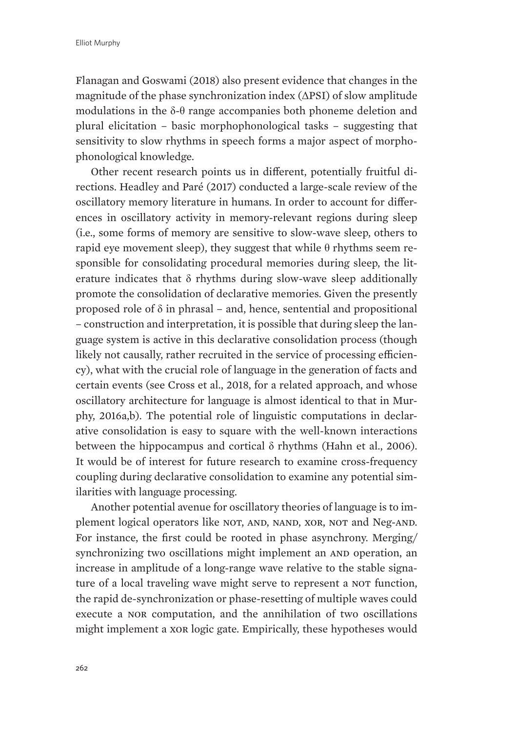Flanagan and Goswami (2018) also present evidence that changes in the magnitude of the phase synchronization index  $(\Delta PSI)$  of slow amplitude modulations in the  $\delta$ - $\theta$  range accompanies both phoneme deletion and plural elicitation – basic morphophonological tasks – suggesting that sensitivity to slow rhythms in speech forms a major aspect of morphophonological knowledge.

Other recent research points us in different, potentially fruitful directions. Headley and Paré (2017) conducted a large-scale review of the oscillatory memory literature in humans. In order to account for differences in oscillatory activity in memory-relevant regions during sleep (i.e., some forms of memory are sensitive to slow-wave sleep, others to rapid eye movement sleep), they suggest that while  $\theta$  rhythms seem responsible for consolidating procedural memories during sleep, the literature indicates that  $\delta$  rhythms during slow-wave sleep additionally promote the consolidation of declarative memories. Given the presently proposed role of  $\delta$  in phrasal – and, hence, sentential and propositional – construction and interpretation, it is possible that during sleep the language system is active in this declarative consolidation process (though likely not causally, rather recruited in the service of processing efficiency), what with the crucial role of language in the generation of facts and certain events (see Cross et al., 2018, for a related approach, and whose oscillatory architecture for language is almost identical to that in Murphy, 2016a,b). The potential role of linguistic computations in declarative consolidation is easy to square with the well-known interactions between the hippocampus and cortical  $\delta$  rhythms (Hahn et al., 2006). It would be of interest for future research to examine cross-frequency coupling during declarative consolidation to examine any potential similarities with language processing.

Another potential avenue for oscillatory theories of language is to implement logical operators like NOT, AND, NAND, XOR, NOT and Neg-AND. For instance, the first could be rooted in phase asynchrony. Merging/ synchronizing two oscillations might implement an AND operation, an increase in amplitude of a long-range wave relative to the stable signature of a local traveling wave might serve to represent a NOT function, the rapid de-synchronization or phase-resetting of multiple waves could execute a nor computation, and the annihilation of two oscillations might implement a xor logic gate. Empirically, these hypotheses would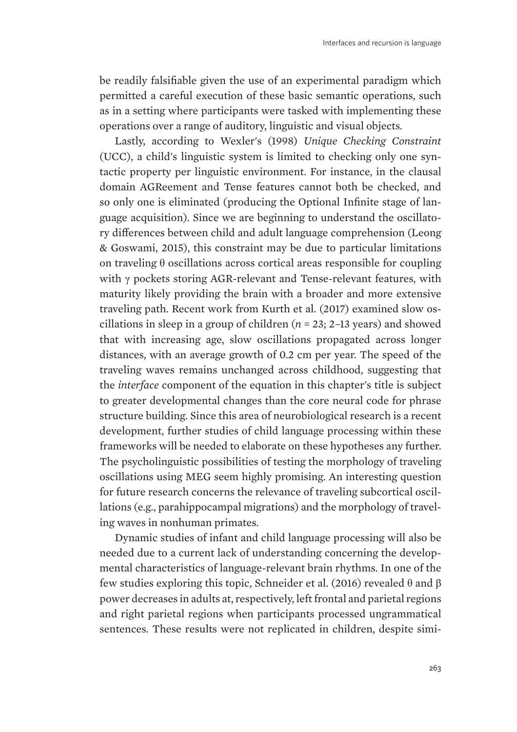be readily falsifiable given the use of an experimental paradigm which permitted a careful execution of these basic semantic operations, such as in a setting where participants were tasked with implementing these operations over a range of auditory, linguistic and visual objects.

Lastly, according to Wexler's (1998) *Unique Checking Constraint* (UCC), a child's linguistic system is limited to checking only one syntactic property per linguistic environment. For instance, in the clausal domain AGReement and Tense features cannot both be checked, and so only one is eliminated (producing the Optional Infinite stage of language acquisition). Since we are beginning to understand the oscillatory differences between child and adult language comprehension (Leong & Goswami, 2015), this constraint may be due to particular limitations on traveling  $\theta$  oscillations across cortical areas responsible for coupling with  $\gamma$  pockets storing AGR-relevant and Tense-relevant features, with maturity likely providing the brain with a broader and more extensive traveling path. Recent work from Kurth et al. (2017) examined slow oscillations in sleep in a group of children (*n* = 23; 2–13 years) and showed that with increasing age, slow oscillations propagated across longer distances, with an average growth of 0.2 cm per year. The speed of the traveling waves remains unchanged across childhood, suggesting that the *interface* component of the equation in this chapter's title is subject to greater developmental changes than the core neural code for phrase structure building. Since this area of neurobiological research is a recent development, further studies of child language processing within these frameworks will be needed to elaborate on these hypotheses any further. The psycholinguistic possibilities of testing the morphology of traveling oscillations using MEG seem highly promising. An interesting question for future research concerns the relevance of traveling subcortical oscillations (e.g., parahippocampal migrations) and the morphology of traveling waves in nonhuman primates.

Dynamic studies of infant and child language processing will also be needed due to a current lack of understanding concerning the developmental characteristics of language-relevant brain rhythms. In one of the few studies exploring this topic, Schneider et al. (2016) revealed  $\theta$  and  $\beta$ power decreases in adults at, respectively, left frontal and parietal regions and right parietal regions when participants processed ungrammatical sentences. These results were not replicated in children, despite simi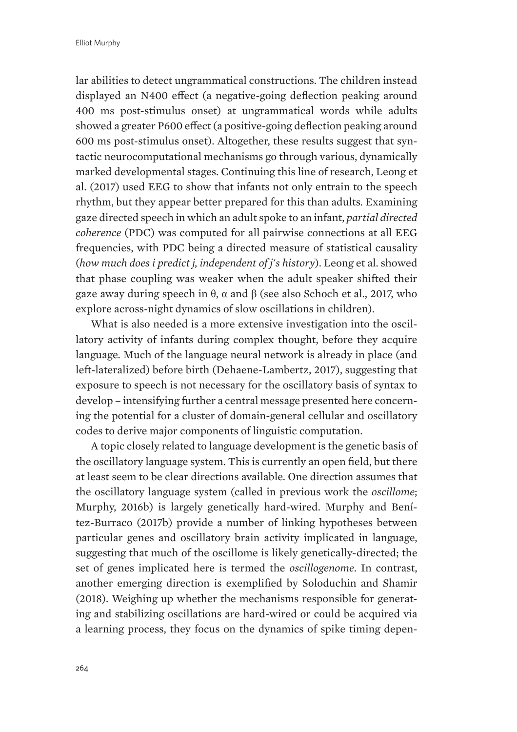lar abilities to detect ungrammatical constructions. The children instead displayed an N400 effect (a negative-going deflection peaking around 400 ms post-stimulus onset) at ungrammatical words while adults showed a greater P600 effect (a positive-going deflection peaking around 600 ms post-stimulus onset). Altogether, these results suggest that syntactic neurocomputational mechanisms go through various, dynamically marked developmental stages. Continuing this line of research, Leong et al. (2017) used EEG to show that infants not only entrain to the speech rhythm, but they appear better prepared for this than adults. Examining gaze directed speech in which an adult spoke to an infant, *partial directed coherence* (PDC) was computed for all pairwise connections at all EEG frequencies, with PDC being a directed measure of statistical causality (*how much does i predict j, independent of j's history*). Leong et al. showed that phase coupling was weaker when the adult speaker shifted their gaze away during speech in  $\theta$ ,  $\alpha$  and  $\beta$  (see also Schoch et al., 2017, who explore across-night dynamics of slow oscillations in children).

What is also needed is a more extensive investigation into the oscillatory activity of infants during complex thought, before they acquire language. Much of the language neural network is already in place (and left-lateralized) before birth (Dehaene-Lambertz, 2017), suggesting that exposure to speech is not necessary for the oscillatory basis of syntax to develop – intensifying further a central message presented here concerning the potential for a cluster of domain-general cellular and oscillatory codes to derive major components of linguistic computation.

A topic closely related to language development is the genetic basis of the oscillatory language system. This is currently an open field, but there at least seem to be clear directions available. One direction assumes that the oscillatory language system (called in previous work the *oscillome*; Murphy, 2016b) is largely genetically hard-wired. Murphy and Benítez-Burraco (2017b) provide a number of linking hypotheses between particular genes and oscillatory brain activity implicated in language, suggesting that much of the oscillome is likely genetically-directed; the set of genes implicated here is termed the *oscillogenome*. In contrast, another emerging direction is exemplified by Soloduchin and Shamir (2018). Weighing up whether the mechanisms responsible for generating and stabilizing oscillations are hard-wired or could be acquired via a learning process, they focus on the dynamics of spike timing depen-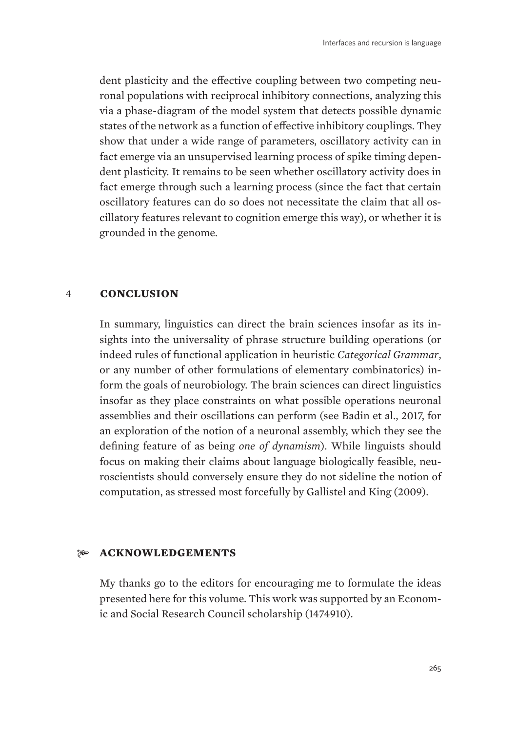dent plasticity and the effective coupling between two competing neuronal populations with reciprocal inhibitory connections, analyzing this via a phase-diagram of the model system that detects possible dynamic states of the network as a function of effective inhibitory couplings. They show that under a wide range of parameters, oscillatory activity can in fact emerge via an unsupervised learning process of spike timing dependent plasticity. It remains to be seen whether oscillatory activity does in fact emerge through such a learning process (since the fact that certain oscillatory features can do so does not necessitate the claim that all oscillatory features relevant to cognition emerge this way), or whether it is grounded in the genome.

### 4 **CONCLUSION**

In summary, linguistics can direct the brain sciences insofar as its insights into the universality of phrase structure building operations (or indeed rules of functional application in heuristic *Categorical Grammar*, or any number of other formulations of elementary combinatorics) inform the goals of neurobiology. The brain sciences can direct linguistics insofar as they place constraints on what possible operations neuronal assemblies and their oscillations can perform (see Badin et al., 2017, for an exploration of the notion of a neuronal assembly, which they see the defining feature of as being *one of dynamism*). While linguists should focus on making their claims about language biologically feasible, neuroscientists should conversely ensure they do not sideline the notion of computation, as stressed most forcefully by Gallistel and King (2009).

# **ACKNOWLEDGEMENTS**

My thanks go to the editors for encouraging me to formulate the ideas presented here for this volume. This work was supported by an Economic and Social Research Council scholarship (1474910).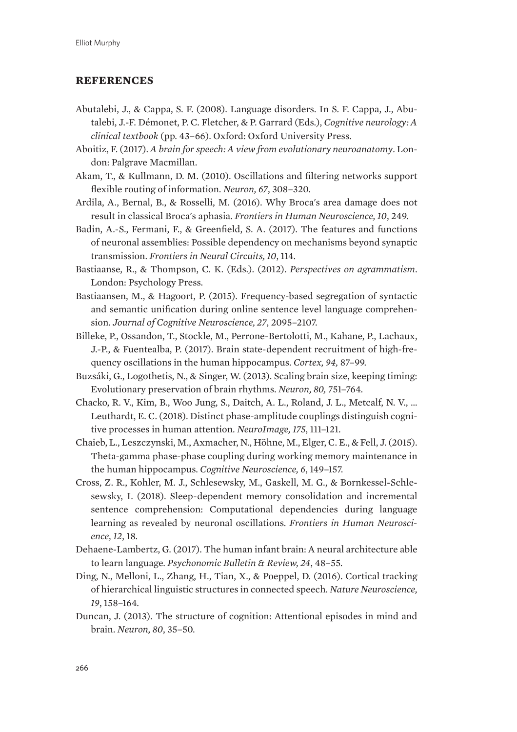## **REFERENCES**

- Abutalebi, J., & Cappa, S. F. (2008). Language disorders. In S. F. Cappa, J., Abutalebi, J.-F. Démonet, P. C. Fletcher, & P. Garrard (Eds.), *Cognitive neurology: A clinical textbook* (pp. 43–66). Oxford: Oxford University Press.
- Aboitiz, F. (2017). *A brain for speech: A view from evolutionary neuroanatomy*. London: Palgrave Macmillan.
- Akam, T., & Kullmann, D. M. (2010). Oscillations and filtering networks support flexible routing of information. *Neuron, 67*, 308–320.
- Ardila, A., Bernal, B., & Rosselli, M. (2016). Why Broca's area damage does not result in classical Broca's aphasia. *Frontiers in Human Neuroscience, 10*, 249.
- Badin, A.-S., Fermani, F., & Greenfield, S. A. (2017). The features and functions of neuronal assemblies: Possible dependency on mechanisms beyond synaptic transmission. *Frontiers in Neural Circuits, 10*, 114.
- Bastiaanse, R., & Thompson, C. K. (Eds.). (2012). *Perspectives on agrammatism*. London: Psychology Press.
- Bastiaansen, M., & Hagoort, P. (2015). Frequency-based segregation of syntactic and semantic unification during online sentence level language comprehension. *Journal of Cognitive Neuroscience, 27*, 2095–2107.
- Billeke, P., Ossandon, T., Stockle, M., Perrone-Bertolotti, M., Kahane, P., Lachaux, J.-P., & Fuentealba, P. (2017). Brain state-dependent recruitment of high-frequency oscillations in the human hippocampus. *Cortex, 94,* 87–99.
- Buzsáki, G., Logothetis, N., & Singer, W. (2013). Scaling brain size, keeping timing: Evolutionary preservation of brain rhythms. *Neuron, 80,* 751–764.
- Chacko, R. V., Kim, B., Woo Jung, S., Daitch, A. L., Roland, J. L., Metcalf, N. V., … Leuthardt, E. C. (2018). Distinct phase-amplitude couplings distinguish cognitive processes in human attention. *NeuroImage, 175*, 111–121.
- Chaieb, L., Leszczynski, M., Axmacher, N., Höhne, M., Elger, C. E., & Fell, J. (2015). Theta-gamma phase-phase coupling during working memory maintenance in the human hippocampus. *Cognitive Neuroscience, 6*, 149–157.
- Cross, Z. R., Kohler, M. J., Schlesewsky, M., Gaskell, M. G., & Bornkessel-Schlesewsky, I. (2018). Sleep-dependent memory consolidation and incremental sentence comprehension: Computational dependencies during language learning as revealed by neuronal oscillations. *Frontiers in Human Neuroscience, 12*, 18.
- Dehaene-Lambertz, G. (2017). The human infant brain: A neural architecture able to learn language. *Psychonomic Bulletin & Review, 24*, 48–55.
- Ding, N., Melloni, L., Zhang, H., Tian, X., & Poeppel, D. (2016). Cortical tracking of hierarchical linguistic structures in connected speech. *Nature Neuroscience, 19*, 158–164.
- Duncan, J. (2013). The structure of cognition: Attentional episodes in mind and brain. *Neuron, 80*, 35–50.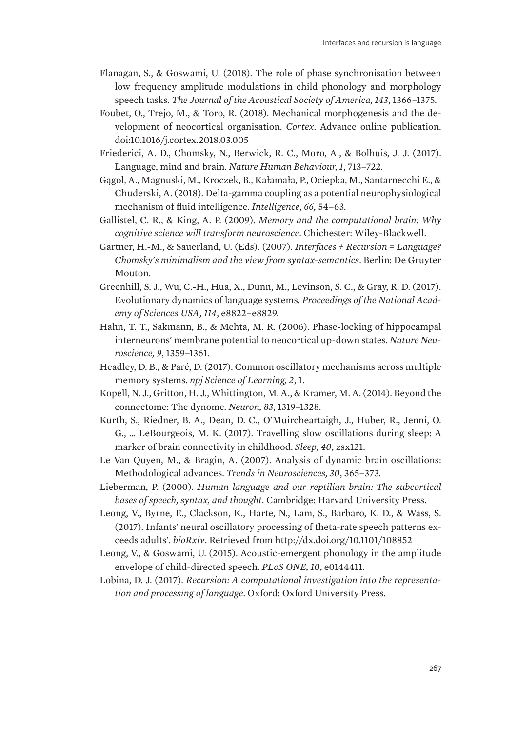- Flanagan, S., & Goswami, U. (2018). The role of phase synchronisation between low frequency amplitude modulations in child phonology and morphology speech tasks. *The Journal of the Acoustical Society of America, 143*, 1366–1375.
- Foubet, O., Trejo, M., & Toro, R. (2018). Mechanical morphogenesis and the development of neocortical organisation. *Cortex*. Advance online publication. doi:10.1016/j.cortex.2018.03.005
- Friederici, A. D., Chomsky, N., Berwick, R. C., Moro, A., & Bolhuis, J. J. (2017). Language, mind and brain. *Nature Human Behaviour, 1*, 713–722.
- Gągol, A., Magnuski, M., Kroczek, B., Kałamała, P., Ociepka, M., Santarnecchi E., & Chuderski, A. (2018). Delta-gamma coupling as a potential neurophysiological mechanism of fluid intelligence. *Intelligence, 66,* 54–63.
- Gallistel, C. R., & King, A. P. (2009). *Memory and the computational brain: Why cognitive science will transform neuroscience*. Chichester: Wiley-Blackwell.
- Gärtner, H.-M., & Sauerland, U. (Eds). (2007). *Interfaces + Recursion = Language? Chomsky's minimalism and the view from syntax-semantics*. Berlin: De Gruyter Mouton.
- Greenhill, S. J., Wu, C.-H., Hua, X., Dunn, M., Levinson, S. C., & Gray, R. D. (2017). Evolutionary dynamics of language systems. *Proceedings of the National Academy of Sciences USA, 114*, e8822–e8829.
- Hahn, T. T., Sakmann, B., & Mehta, M. R. (2006). Phase-locking of hippocampal interneurons' membrane potential to neocortical up-down states. *Nature Neuroscience, 9*, 1359–1361.
- Headley, D. B., & Paré, D. (2017). Common oscillatory mechanisms across multiple memory systems. *npj Science of Learning, 2*, 1.
- Kopell, N. J., Gritton, H. J., Whittington, M. A., & Kramer, M. A. (2014). Beyond the connectome: The dynome. *Neuron, 83*, 1319–1328.
- Kurth, S., Riedner, B. A., Dean, D. C., O'Muircheartaigh, J., Huber, R., Jenni, O. G., … LeBourgeois, M. K. (2017). Travelling slow oscillations during sleep: A marker of brain connectivity in childhood. *Sleep, 40*, zsx121.
- Le Van Quyen, M., & Bragin, A. (2007). Analysis of dynamic brain oscillations: Methodological advances. *Trends in Neurosciences, 30*, 365–373.
- Lieberman, P. (2000). *Human language and our reptilian brain: The subcortical bases of speech, syntax, and thought.* Cambridge: Harvard University Press.
- Leong, V., Byrne, E., Clackson, K., Harte, N., Lam, S., Barbaro, K. D., & Wass, S. (2017). Infants' neural oscillatory processing of theta-rate speech patterns exceeds adults'. *bioRxiv*. Retrieved from http://dx.doi.org/10.1101/108852
- Leong, V., & Goswami, U. (2015). Acoustic-emergent phonology in the amplitude envelope of child-directed speech. *PLoS ONE, 10*, e0144411.
- Lobina, D. J. (2017). *Recursion: A computational investigation into the representation and processing of language*. Oxford: Oxford University Press.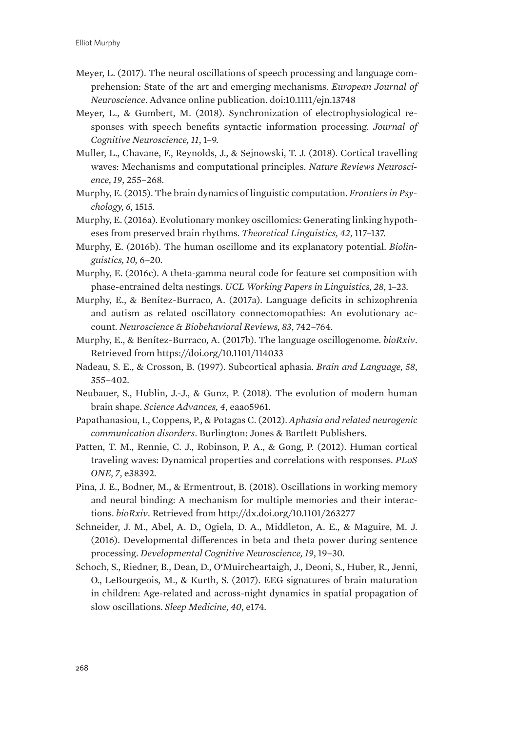- Meyer, L. (2017). The neural oscillations of speech processing and language comprehension: State of the art and emerging mechanisms. *European Journal of Neuroscience*. Advance online publication. doi:10.1111/ejn.13748
- Meyer, L., & Gumbert, M. (2018). Synchronization of electrophysiological responses with speech benefits syntactic information processing. *Journal of Cognitive Neuroscience, 11*, 1–9.
- Muller, L., Chavane, F., Reynolds, J., & Sejnowski, T. J. (2018). Cortical travelling waves: Mechanisms and computational principles. *Nature Reviews Neuroscience, 19*, 255–268.
- Murphy, E. (2015). The brain dynamics of linguistic computation. *Frontiers in Psychology, 6,* 1515.
- Murphy, E. (2016a). Evolutionary monkey oscillomics: Generating linking hypotheses from preserved brain rhythms. *Theoretical Linguistics, 42*, 117–137.
- Murphy, E. (2016b). The human oscillome and its explanatory potential. *Biolinguistics, 10,* 6–20.
- Murphy, E. (2016c). A theta-gamma neural code for feature set composition with phase-entrained delta nestings. *UCL Working Papers in Linguistics, 28*, 1–23.
- Murphy, E., & Benítez-Burraco, A. (2017a). Language deficits in schizophrenia and autism as related oscillatory connectomopathies: An evolutionary account. *Neuroscience & Biobehavioral Reviews, 83*, 742–764.
- Murphy, E., & Benítez-Burraco, A. (2017b). The language oscillogenome. *bioRxiv*. Retrieved from https://doi.org/10.1101/114033
- Nadeau, S. E., & Crosson, B. (1997). Subcortical aphasia. *Brain and Language, 58*, 355–402.
- Neubauer, S., Hublin, J.-J., & Gunz, P. (2018). The evolution of modern human brain shape. *Science Advances, 4*, eaao5961.
- Papathanasiou, I., Coppens, P., & Potagas C. (2012). *Aphasia and related neurogenic communication disorders*. Burlington: Jones & Bartlett Publishers.
- Patten, T. M., Rennie, C. J., Robinson, P. A., & Gong, P. (2012). Human cortical traveling waves: Dynamical properties and correlations with responses. *PLoS ONE, 7*, e38392.
- Pina, J. E., Bodner, M., & Ermentrout, B. (2018). Oscillations in working memory and neural binding: A mechanism for multiple memories and their interactions. *bioRxiv*. Retrieved from http://dx.doi.org/10.1101/263277
- Schneider, J. M., Abel, A. D., Ogiela, D. A., Middleton, A. E., & Maguire, M. J. (2016). Developmental differences in beta and theta power during sentence processing. *Developmental Cognitive Neuroscience, 19*, 19–30.
- Schoch, S., Riedner, B., Dean, D., O'Muircheartaigh, J., Deoni, S., Huber, R., Jenni, O., LeBourgeois, M., & Kurth, S. (2017). EEG signatures of brain maturation in children: Age-related and across-night dynamics in spatial propagation of slow oscillations. *Sleep Medicine, 40*, e174.